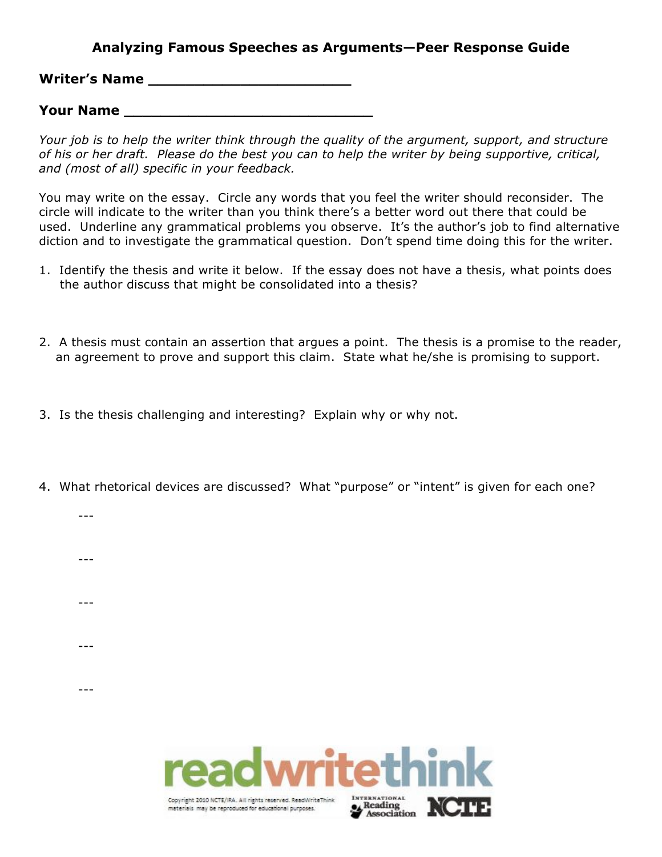## **Analyzing Famous Speeches as Arguments—Peer Response Guide**

**Writer's Name \_\_\_\_\_\_\_\_\_\_\_\_\_\_\_\_\_\_\_\_\_\_**

**Your Name \_\_\_\_\_\_\_\_\_\_\_\_\_\_\_\_\_\_\_\_\_\_\_\_\_\_\_**

*Your job is to help the writer think through the quality of the argument, support, and structure of his or her draft. Please do the best you can to help the writer by being supportive, critical, and (most of all) specific in your feedback.*

You may write on the essay. Circle any words that you feel the writer should reconsider. The circle will indicate to the writer than you think there's a better word out there that could be used. Underline any grammatical problems you observe. It's the author's job to find alternative diction and to investigate the grammatical question. Don't spend time doing this for the writer.

- 1. Identify the thesis and write it below. If the essay does not have a thesis, what points does the author discuss that might be consolidated into a thesis?
- 2. A thesis must contain an assertion that argues a point. The thesis is a promise to the reader, an agreement to prove and support this claim. State what he/she is promising to support.
- 3. Is the thesis challenging and interesting? Explain why or why not.

Copyright 2010 NCTE/IRA. All rights reserved. ReadWriteThink

materials may be reproduced for educational purposes.

---

---

---

---

---

4. What rhetorical devices are discussed? What "purpose" or "intent" is given for each one?

**MCITE**